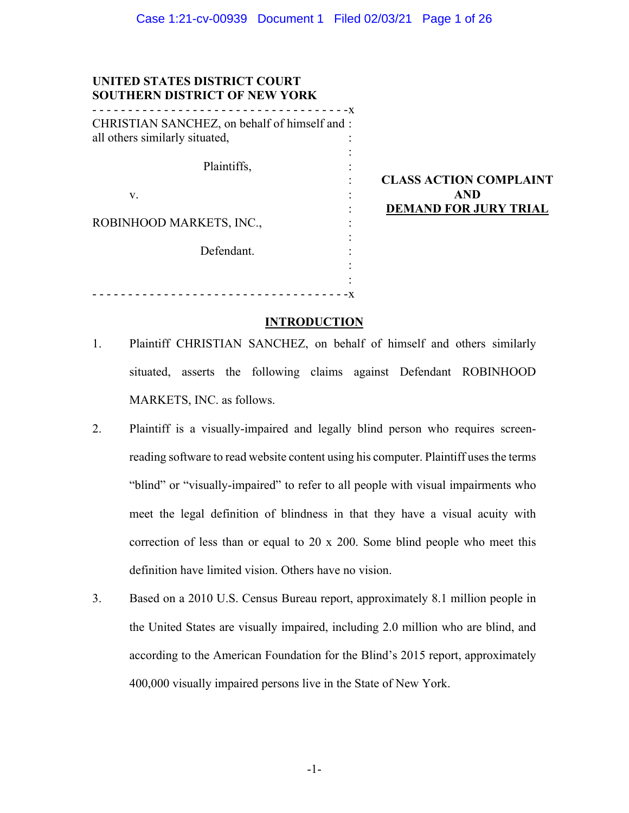: : : : : : : : : : : :

| UNITED STATES DISTRICT COURT         |  |
|--------------------------------------|--|
| <b>SOUTHERN DISTRICT OF NEW YORK</b> |  |

| CHRISTIAN SANCHEZ, on behalf of himself and: |  |
|----------------------------------------------|--|
| all others similarly situated,               |  |
| Plaintiffs,                                  |  |
| V.                                           |  |
| ROBINHOOD MARKETS, INC.,                     |  |
| Defendant.                                   |  |
|                                              |  |

- - - - - - - - - - - - - - - - - - - - - - - - - - - - - - - - - - - -x

**CLASS ACTION COMPLAINT AND DEMAND FOR JURY TRIAL** 

## **INTRODUCTION**

- 1. Plaintiff CHRISTIAN SANCHEZ, on behalf of himself and others similarly situated, asserts the following claims against Defendant ROBINHOOD MARKETS, INC. as follows.
- 2. Plaintiff is a visually-impaired and legally blind person who requires screenreading software to read website content using his computer. Plaintiff uses the terms "blind" or "visually-impaired" to refer to all people with visual impairments who meet the legal definition of blindness in that they have a visual acuity with correction of less than or equal to 20 x 200. Some blind people who meet this definition have limited vision. Others have no vision.
- 3. Based on a 2010 U.S. Census Bureau report, approximately 8.1 million people in the United States are visually impaired, including 2.0 million who are blind, and according to the American Foundation for the Blind's 2015 report, approximately 400,000 visually impaired persons live in the State of New York.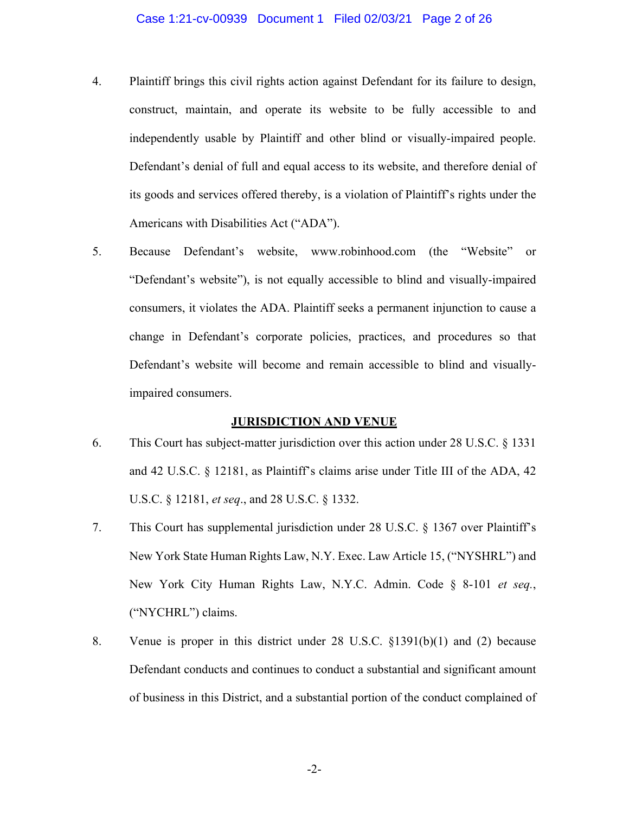- 4. Plaintiff brings this civil rights action against Defendant for its failure to design, construct, maintain, and operate its website to be fully accessible to and independently usable by Plaintiff and other blind or visually-impaired people. Defendant's denial of full and equal access to its website, and therefore denial of its goods and services offered thereby, is a violation of Plaintiff's rights under the Americans with Disabilities Act ("ADA").
- 5. Because Defendant's website, www.robinhood.com (the "Website" or "Defendant's website"), is not equally accessible to blind and visually-impaired consumers, it violates the ADA. Plaintiff seeks a permanent injunction to cause a change in Defendant's corporate policies, practices, and procedures so that Defendant's website will become and remain accessible to blind and visuallyimpaired consumers.

### **JURISDICTION AND VENUE**

- 6. This Court has subject-matter jurisdiction over this action under 28 U.S.C. § 1331 and 42 U.S.C. § 12181, as Plaintiff's claims arise under Title III of the ADA, 42 U.S.C. § 12181, *et seq*., and 28 U.S.C. § 1332.
- 7. This Court has supplemental jurisdiction under 28 U.S.C. § 1367 over Plaintiff's New York State Human Rights Law, N.Y. Exec. Law Article 15, ("NYSHRL") and New York City Human Rights Law, N.Y.C. Admin. Code § 8-101 *et seq.*, ("NYCHRL") claims.
- 8. Venue is proper in this district under 28 U.S.C. §1391(b)(1) and (2) because Defendant conducts and continues to conduct a substantial and significant amount of business in this District, and a substantial portion of the conduct complained of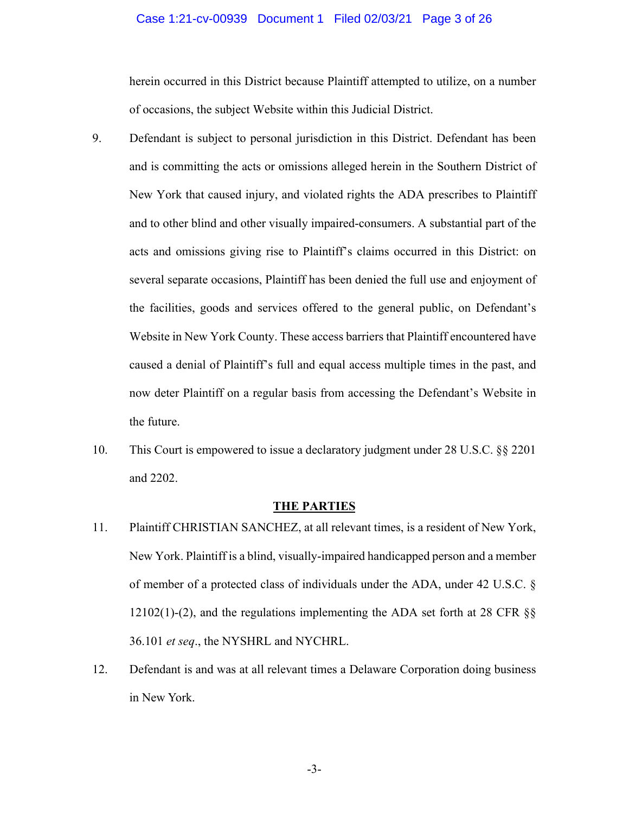### Case 1:21-cv-00939 Document 1 Filed 02/03/21 Page 3 of 26

herein occurred in this District because Plaintiff attempted to utilize, on a number of occasions, the subject Website within this Judicial District.

- 9. Defendant is subject to personal jurisdiction in this District. Defendant has been and is committing the acts or omissions alleged herein in the Southern District of New York that caused injury, and violated rights the ADA prescribes to Plaintiff and to other blind and other visually impaired-consumers. A substantial part of the acts and omissions giving rise to Plaintiff's claims occurred in this District: on several separate occasions, Plaintiff has been denied the full use and enjoyment of the facilities, goods and services offered to the general public, on Defendant's Website in New York County. These access barriers that Plaintiff encountered have caused a denial of Plaintiff's full and equal access multiple times in the past, and now deter Plaintiff on a regular basis from accessing the Defendant's Website in the future.
- 10. This Court is empowered to issue a declaratory judgment under 28 U.S.C. §§ 2201 and 2202.

### **THE PARTIES**

- 11. Plaintiff CHRISTIAN SANCHEZ, at all relevant times, is a resident of New York, New York. Plaintiff is a blind, visually-impaired handicapped person and a member of member of a protected class of individuals under the ADA, under 42 U.S.C. § 12102(1)-(2), and the regulations implementing the ADA set forth at 28 CFR §§ 36.101 *et seq*., the NYSHRL and NYCHRL.
- 12. Defendant is and was at all relevant times a Delaware Corporation doing business in New York.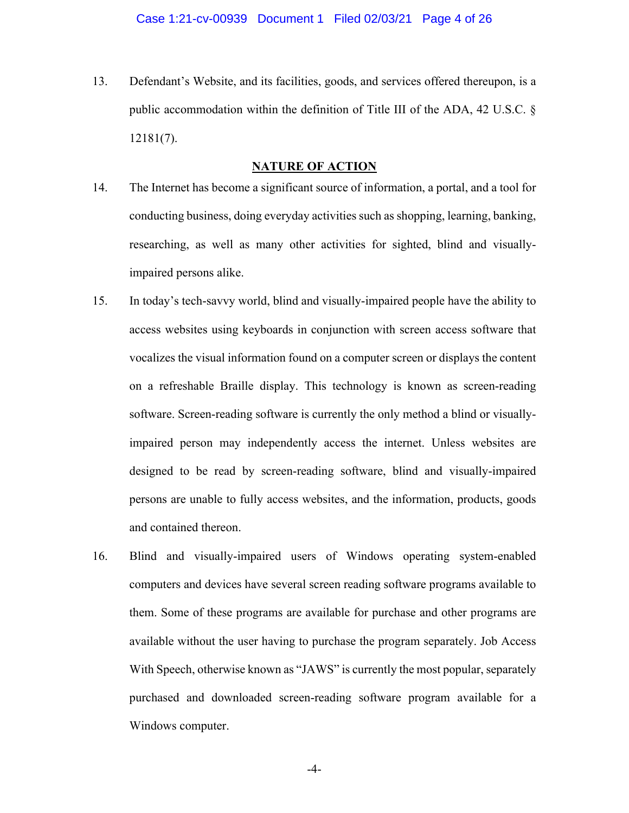13. Defendant's Website, and its facilities, goods, and services offered thereupon, is a public accommodation within the definition of Title III of the ADA, 42 U.S.C. § 12181(7).

# **NATURE OF ACTION**

- 14. The Internet has become a significant source of information, a portal, and a tool for conducting business, doing everyday activities such as shopping, learning, banking, researching, as well as many other activities for sighted, blind and visuallyimpaired persons alike.
- 15. In today's tech-savvy world, blind and visually-impaired people have the ability to access websites using keyboards in conjunction with screen access software that vocalizes the visual information found on a computer screen or displays the content on a refreshable Braille display. This technology is known as screen-reading software. Screen-reading software is currently the only method a blind or visuallyimpaired person may independently access the internet. Unless websites are designed to be read by screen-reading software, blind and visually-impaired persons are unable to fully access websites, and the information, products, goods and contained thereon.
- 16. Blind and visually-impaired users of Windows operating system-enabled computers and devices have several screen reading software programs available to them. Some of these programs are available for purchase and other programs are available without the user having to purchase the program separately. Job Access With Speech, otherwise known as "JAWS" is currently the most popular, separately purchased and downloaded screen-reading software program available for a Windows computer.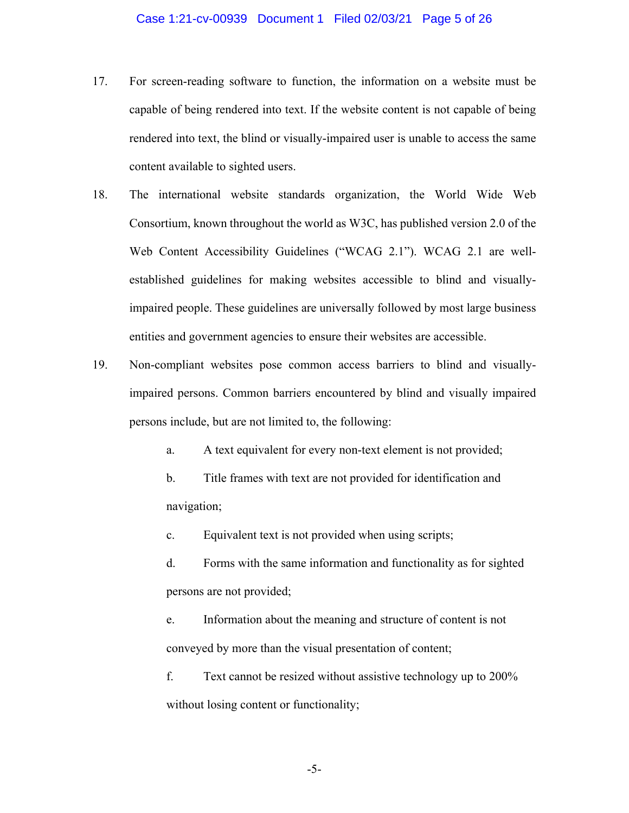- 17. For screen-reading software to function, the information on a website must be capable of being rendered into text. If the website content is not capable of being rendered into text, the blind or visually-impaired user is unable to access the same content available to sighted users.
- 18. The international website standards organization, the World Wide Web Consortium, known throughout the world as W3C, has published version 2.0 of the Web Content Accessibility Guidelines ("WCAG 2.1"). WCAG 2.1 are wellestablished guidelines for making websites accessible to blind and visuallyimpaired people. These guidelines are universally followed by most large business entities and government agencies to ensure their websites are accessible.
- 19. Non-compliant websites pose common access barriers to blind and visuallyimpaired persons. Common barriers encountered by blind and visually impaired persons include, but are not limited to, the following:
	- a. A text equivalent for every non-text element is not provided;
	- b. Title frames with text are not provided for identification and navigation;

c. Equivalent text is not provided when using scripts;

d. Forms with the same information and functionality as for sighted persons are not provided;

e. Information about the meaning and structure of content is not conveyed by more than the visual presentation of content;

f. Text cannot be resized without assistive technology up to 200% without losing content or functionality;

-5-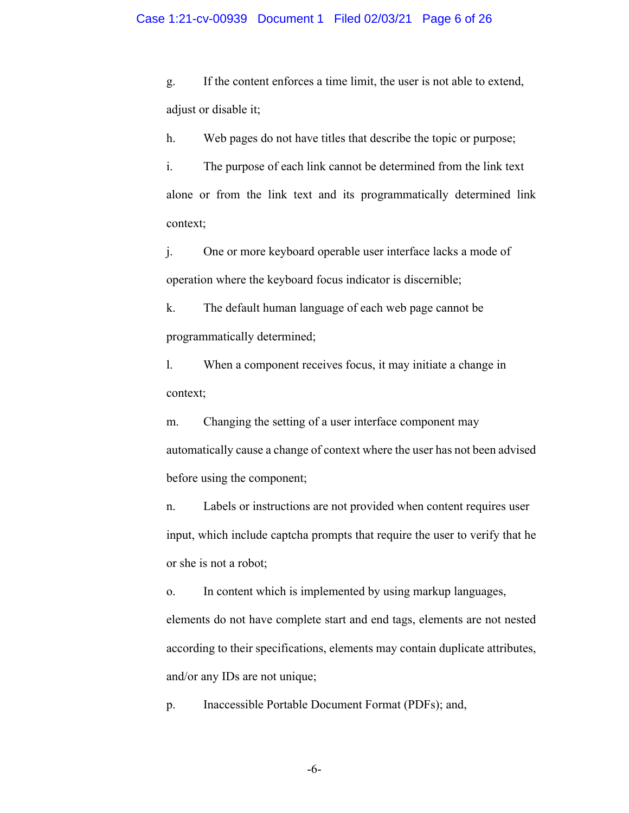#### Case 1:21-cv-00939 Document 1 Filed 02/03/21 Page 6 of 26

g. If the content enforces a time limit, the user is not able to extend, adjust or disable it;

h. Web pages do not have titles that describe the topic or purpose;

i. The purpose of each link cannot be determined from the link text alone or from the link text and its programmatically determined link context;

j. One or more keyboard operable user interface lacks a mode of operation where the keyboard focus indicator is discernible;

k. The default human language of each web page cannot be programmatically determined;

l. When a component receives focus, it may initiate a change in context;

m. Changing the setting of a user interface component may automatically cause a change of context where the user has not been advised before using the component;

n. Labels or instructions are not provided when content requires user input, which include captcha prompts that require the user to verify that he or she is not a robot;

o. In content which is implemented by using markup languages, elements do not have complete start and end tags, elements are not nested according to their specifications, elements may contain duplicate attributes, and/or any IDs are not unique;

p. Inaccessible Portable Document Format (PDFs); and,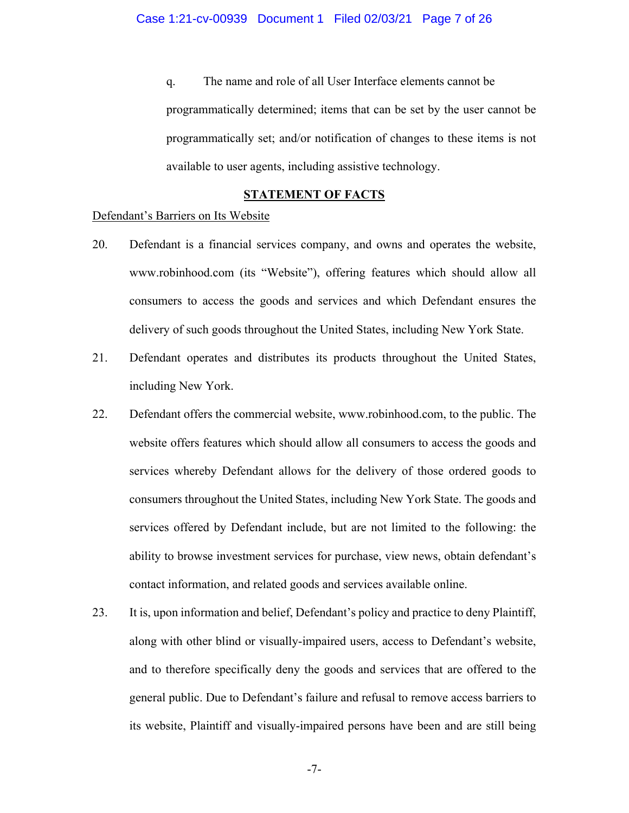q. The name and role of all User Interface elements cannot be programmatically determined; items that can be set by the user cannot be programmatically set; and/or notification of changes to these items is not available to user agents, including assistive technology.

## **STATEMENT OF FACTS**

### Defendant's Barriers on Its Website

- 20. Defendant is a financial services company, and owns and operates the website, www.robinhood.com (its "Website"), offering features which should allow all consumers to access the goods and services and which Defendant ensures the delivery of such goods throughout the United States, including New York State.
- 21. Defendant operates and distributes its products throughout the United States, including New York.
- 22. Defendant offers the commercial website, www.robinhood.com, to the public. The website offers features which should allow all consumers to access the goods and services whereby Defendant allows for the delivery of those ordered goods to consumers throughout the United States, including New York State. The goods and services offered by Defendant include, but are not limited to the following: the ability to browse investment services for purchase, view news, obtain defendant's contact information, and related goods and services available online.
- 23. It is, upon information and belief, Defendant's policy and practice to deny Plaintiff, along with other blind or visually-impaired users, access to Defendant's website, and to therefore specifically deny the goods and services that are offered to the general public. Due to Defendant's failure and refusal to remove access barriers to its website, Plaintiff and visually-impaired persons have been and are still being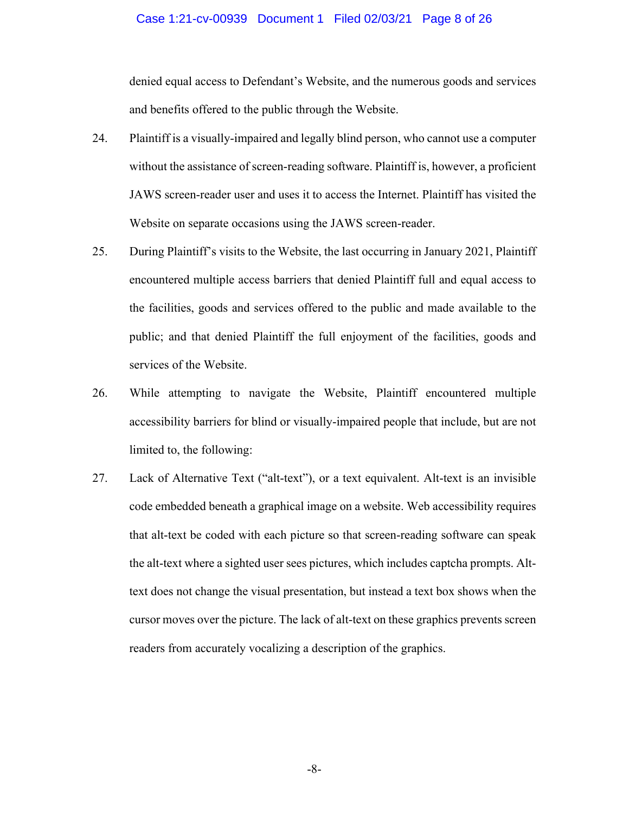### Case 1:21-cv-00939 Document 1 Filed 02/03/21 Page 8 of 26

denied equal access to Defendant's Website, and the numerous goods and services and benefits offered to the public through the Website.

- 24. Plaintiff is a visually-impaired and legally blind person, who cannot use a computer without the assistance of screen-reading software. Plaintiff is, however, a proficient JAWS screen-reader user and uses it to access the Internet. Plaintiff has visited the Website on separate occasions using the JAWS screen-reader.
- 25. During Plaintiff's visits to the Website, the last occurring in January 2021, Plaintiff encountered multiple access barriers that denied Plaintiff full and equal access to the facilities, goods and services offered to the public and made available to the public; and that denied Plaintiff the full enjoyment of the facilities, goods and services of the Website.
- 26. While attempting to navigate the Website, Plaintiff encountered multiple accessibility barriers for blind or visually-impaired people that include, but are not limited to, the following:
- 27. Lack of Alternative Text ("alt-text"), or a text equivalent. Alt-text is an invisible code embedded beneath a graphical image on a website. Web accessibility requires that alt-text be coded with each picture so that screen-reading software can speak the alt-text where a sighted user sees pictures, which includes captcha prompts. Alttext does not change the visual presentation, but instead a text box shows when the cursor moves over the picture. The lack of alt-text on these graphics prevents screen readers from accurately vocalizing a description of the graphics.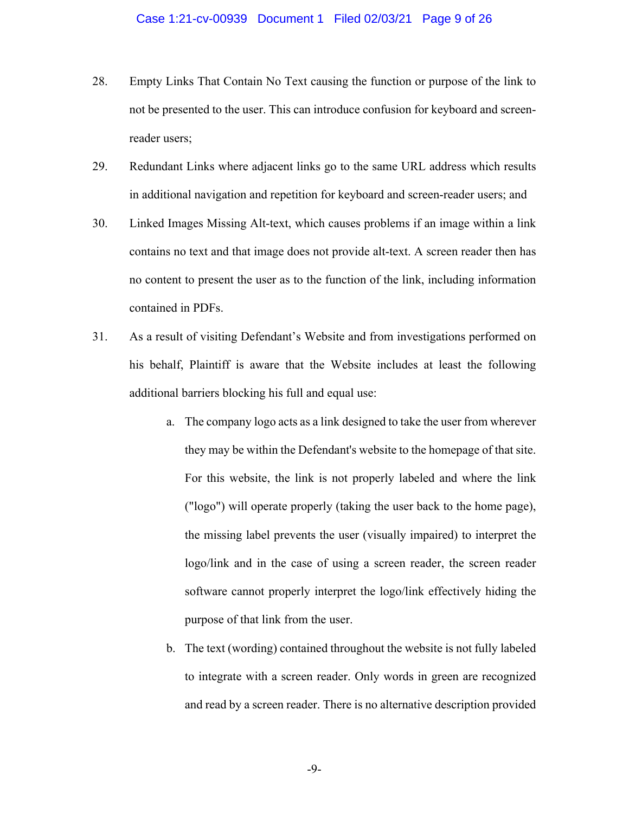- 28. Empty Links That Contain No Text causing the function or purpose of the link to not be presented to the user. This can introduce confusion for keyboard and screenreader users;
- 29. Redundant Links where adjacent links go to the same URL address which results in additional navigation and repetition for keyboard and screen-reader users; and
- 30. Linked Images Missing Alt-text, which causes problems if an image within a link contains no text and that image does not provide alt-text. A screen reader then has no content to present the user as to the function of the link, including information contained in PDFs.
- 31. As a result of visiting Defendant's Website and from investigations performed on his behalf, Plaintiff is aware that the Website includes at least the following additional barriers blocking his full and equal use:
	- a. The company logo acts as a link designed to take the user from wherever they may be within the Defendant's website to the homepage of that site. For this website, the link is not properly labeled and where the link ("logo") will operate properly (taking the user back to the home page), the missing label prevents the user (visually impaired) to interpret the logo/link and in the case of using a screen reader, the screen reader software cannot properly interpret the logo/link effectively hiding the purpose of that link from the user.
	- b. The text (wording) contained throughout the website is not fully labeled to integrate with a screen reader. Only words in green are recognized and read by a screen reader. There is no alternative description provided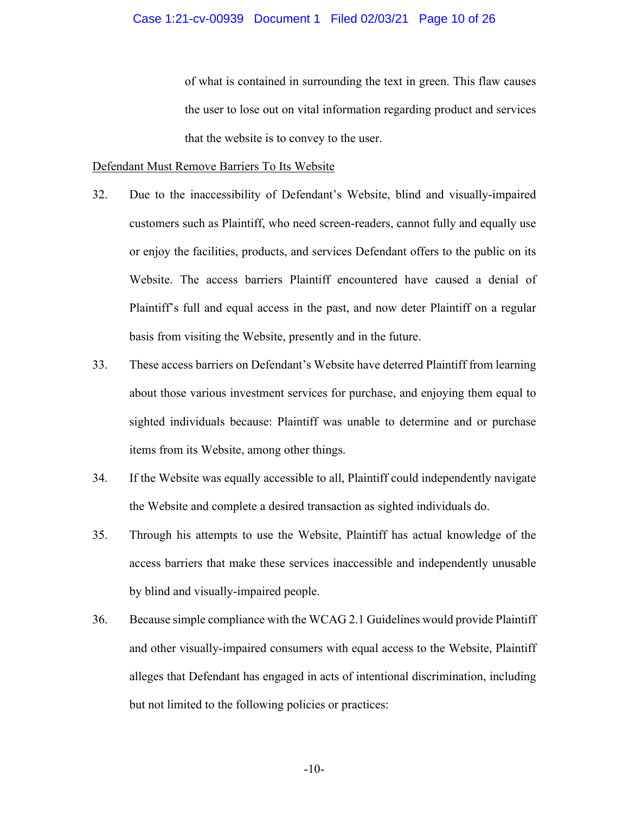### Case 1:21-cv-00939 Document 1 Filed 02/03/21 Page 10 of 26

of what is contained in surrounding the text in green. This flaw causes the user to lose out on vital information regarding product and services that the website is to convey to the user.

### Defendant Must Remove Barriers To Its Website

- 32. Due to the inaccessibility of Defendant's Website, blind and visually-impaired customers such as Plaintiff, who need screen-readers, cannot fully and equally use or enjoy the facilities, products, and services Defendant offers to the public on its Website. The access barriers Plaintiff encountered have caused a denial of Plaintiff's full and equal access in the past, and now deter Plaintiff on a regular basis from visiting the Website, presently and in the future.
- 33. These access barriers on Defendant's Website have deterred Plaintiff from learning about those various investment services for purchase, and enjoying them equal to sighted individuals because: Plaintiff was unable to determine and or purchase items from its Website, among other things.
- 34. If the Website was equally accessible to all, Plaintiff could independently navigate the Website and complete a desired transaction as sighted individuals do.
- 35. Through his attempts to use the Website, Plaintiff has actual knowledge of the access barriers that make these services inaccessible and independently unusable by blind and visually-impaired people.
- 36. Because simple compliance with the WCAG 2.1 Guidelines would provide Plaintiff and other visually-impaired consumers with equal access to the Website, Plaintiff alleges that Defendant has engaged in acts of intentional discrimination, including but not limited to the following policies or practices: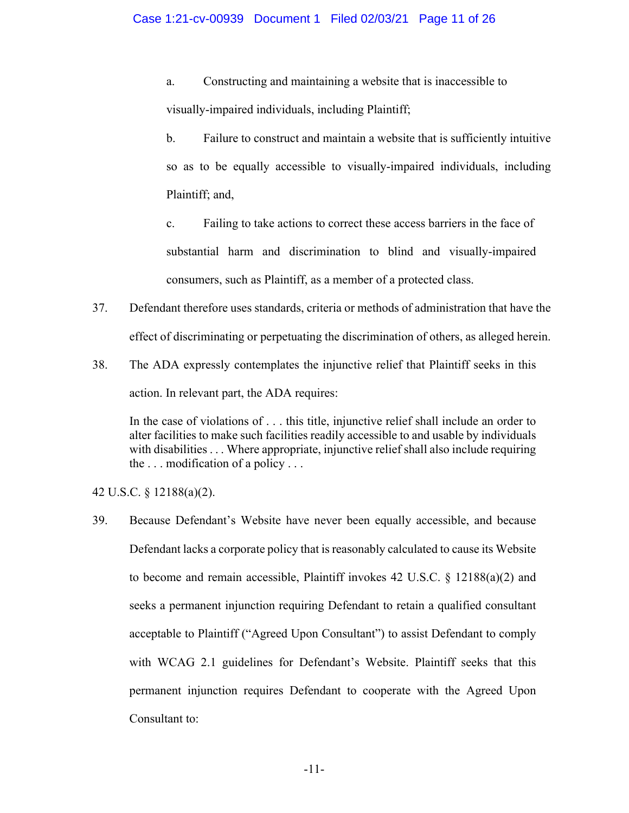a. Constructing and maintaining a website that is inaccessible to visually-impaired individuals, including Plaintiff;

b. Failure to construct and maintain a website that is sufficiently intuitive so as to be equally accessible to visually-impaired individuals, including Plaintiff; and,

c. Failing to take actions to correct these access barriers in the face of substantial harm and discrimination to blind and visually-impaired consumers, such as Plaintiff, as a member of a protected class.

- 37. Defendant therefore uses standards, criteria or methods of administration that have the effect of discriminating or perpetuating the discrimination of others, as alleged herein.
- 38. The ADA expressly contemplates the injunctive relief that Plaintiff seeks in this action. In relevant part, the ADA requires:

In the case of violations of . . . this title, injunctive relief shall include an order to alter facilities to make such facilities readily accessible to and usable by individuals with disabilities . . . Where appropriate, injunctive relief shall also include requiring the  $\ldots$  modification of a policy  $\ldots$ 

42 U.S.C. § 12188(a)(2).

39. Because Defendant's Website have never been equally accessible, and because Defendant lacks a corporate policy that is reasonably calculated to cause its Website to become and remain accessible, Plaintiff invokes 42 U.S.C.  $\S$  12188(a)(2) and seeks a permanent injunction requiring Defendant to retain a qualified consultant acceptable to Plaintiff ("Agreed Upon Consultant") to assist Defendant to comply with WCAG 2.1 guidelines for Defendant's Website. Plaintiff seeks that this permanent injunction requires Defendant to cooperate with the Agreed Upon Consultant to: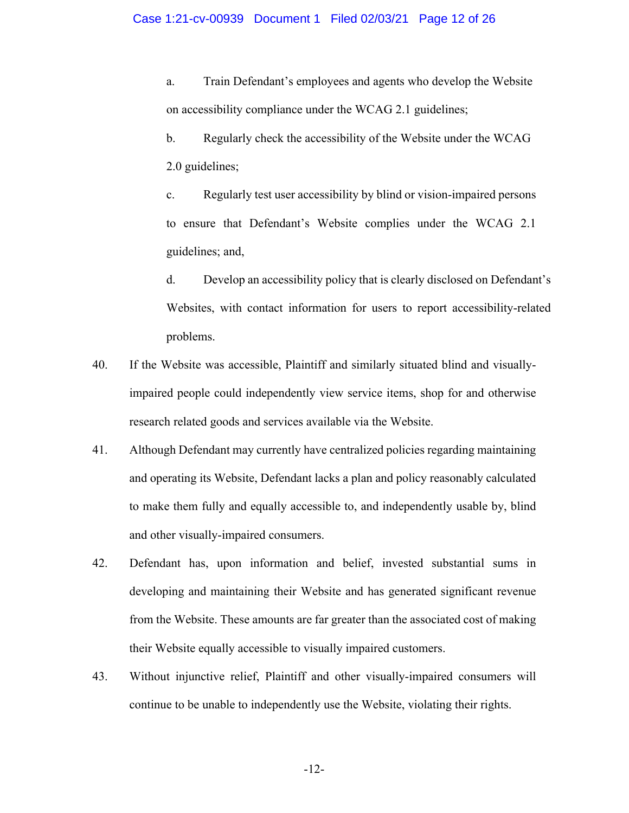a. Train Defendant's employees and agents who develop the Website on accessibility compliance under the WCAG 2.1 guidelines;

b. Regularly check the accessibility of the Website under the WCAG 2.0 guidelines;

c. Regularly test user accessibility by blind or vision-impaired persons to ensure that Defendant's Website complies under the WCAG 2.1 guidelines; and,

d. Develop an accessibility policy that is clearly disclosed on Defendant's Websites, with contact information for users to report accessibility-related problems.

- 40. If the Website was accessible, Plaintiff and similarly situated blind and visuallyimpaired people could independently view service items, shop for and otherwise research related goods and services available via the Website.
- 41. Although Defendant may currently have centralized policies regarding maintaining and operating its Website, Defendant lacks a plan and policy reasonably calculated to make them fully and equally accessible to, and independently usable by, blind and other visually-impaired consumers.
- 42. Defendant has, upon information and belief, invested substantial sums in developing and maintaining their Website and has generated significant revenue from the Website. These amounts are far greater than the associated cost of making their Website equally accessible to visually impaired customers.
- 43. Without injunctive relief, Plaintiff and other visually-impaired consumers will continue to be unable to independently use the Website, violating their rights.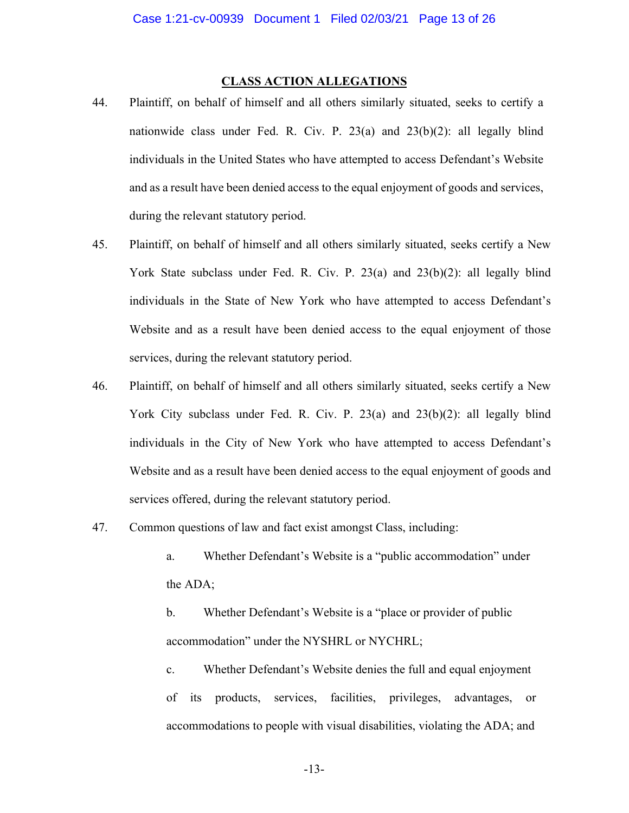# **CLASS ACTION ALLEGATIONS**

- 44. Plaintiff, on behalf of himself and all others similarly situated, seeks to certify a nationwide class under Fed. R. Civ. P. 23(a) and 23(b)(2): all legally blind individuals in the United States who have attempted to access Defendant's Website and as a result have been denied access to the equal enjoyment of goods and services, during the relevant statutory period.
- 45. Plaintiff, on behalf of himself and all others similarly situated, seeks certify a New York State subclass under Fed. R. Civ. P. 23(a) and 23(b)(2): all legally blind individuals in the State of New York who have attempted to access Defendant's Website and as a result have been denied access to the equal enjoyment of those services, during the relevant statutory period.
- 46. Plaintiff, on behalf of himself and all others similarly situated, seeks certify a New York City subclass under Fed. R. Civ. P. 23(a) and 23(b)(2): all legally blind individuals in the City of New York who have attempted to access Defendant's Website and as a result have been denied access to the equal enjoyment of goods and services offered, during the relevant statutory period.
- 47. Common questions of law and fact exist amongst Class, including:
	- a. Whether Defendant's Website is a "public accommodation" under the ADA;
	- b. Whether Defendant's Website is a "place or provider of public accommodation" under the NYSHRL or NYCHRL;
	- c. Whether Defendant's Website denies the full and equal enjoyment of its products, services, facilities, privileges, advantages, or accommodations to people with visual disabilities, violating the ADA; and

-13-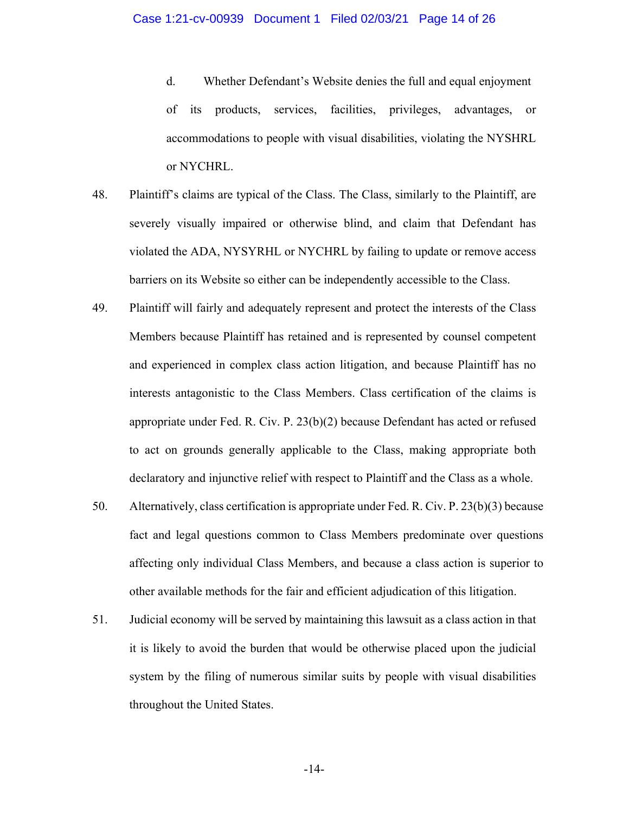- d. Whether Defendant's Website denies the full and equal enjoyment of its products, services, facilities, privileges, advantages, or accommodations to people with visual disabilities, violating the NYSHRL or NYCHRL.
- 48. Plaintiff's claims are typical of the Class. The Class, similarly to the Plaintiff, are severely visually impaired or otherwise blind, and claim that Defendant has violated the ADA, NYSYRHL or NYCHRL by failing to update or remove access barriers on its Website so either can be independently accessible to the Class.
- 49. Plaintiff will fairly and adequately represent and protect the interests of the Class Members because Plaintiff has retained and is represented by counsel competent and experienced in complex class action litigation, and because Plaintiff has no interests antagonistic to the Class Members. Class certification of the claims is appropriate under Fed. R. Civ. P. 23(b)(2) because Defendant has acted or refused to act on grounds generally applicable to the Class, making appropriate both declaratory and injunctive relief with respect to Plaintiff and the Class as a whole.
- 50. Alternatively, class certification is appropriate under Fed. R. Civ. P. 23(b)(3) because fact and legal questions common to Class Members predominate over questions affecting only individual Class Members, and because a class action is superior to other available methods for the fair and efficient adjudication of this litigation.
- 51. Judicial economy will be served by maintaining this lawsuit as a class action in that it is likely to avoid the burden that would be otherwise placed upon the judicial system by the filing of numerous similar suits by people with visual disabilities throughout the United States.

-14-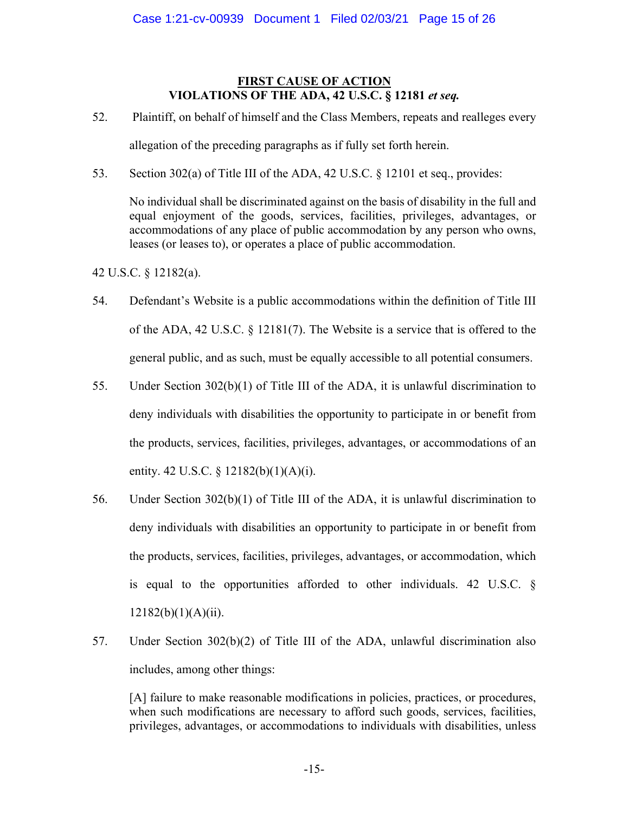# **FIRST CAUSE OF ACTION VIOLATIONS OF THE ADA, 42 U.S.C. § 12181** *et seq.*

- 52. Plaintiff, on behalf of himself and the Class Members, repeats and realleges every allegation of the preceding paragraphs as if fully set forth herein.
- 53. Section 302(a) of Title III of the ADA, 42 U.S.C. § 12101 et seq., provides:

No individual shall be discriminated against on the basis of disability in the full and equal enjoyment of the goods, services, facilities, privileges, advantages, or accommodations of any place of public accommodation by any person who owns, leases (or leases to), or operates a place of public accommodation.

42 U.S.C. § 12182(a).

- 54. Defendant's Website is a public accommodations within the definition of Title III of the ADA, 42 U.S.C. § 12181(7). The Website is a service that is offered to the general public, and as such, must be equally accessible to all potential consumers.
- 55. Under Section 302(b)(1) of Title III of the ADA, it is unlawful discrimination to deny individuals with disabilities the opportunity to participate in or benefit from the products, services, facilities, privileges, advantages, or accommodations of an entity. 42 U.S.C. § 12182(b)(1)(A)(i).
- 56. Under Section 302(b)(1) of Title III of the ADA, it is unlawful discrimination to deny individuals with disabilities an opportunity to participate in or benefit from the products, services, facilities, privileges, advantages, or accommodation, which is equal to the opportunities afforded to other individuals. 42 U.S.C. §  $12182(b)(1)(A)(ii)$ .
- 57. Under Section 302(b)(2) of Title III of the ADA, unlawful discrimination also includes, among other things:

[A] failure to make reasonable modifications in policies, practices, or procedures, when such modifications are necessary to afford such goods, services, facilities, privileges, advantages, or accommodations to individuals with disabilities, unless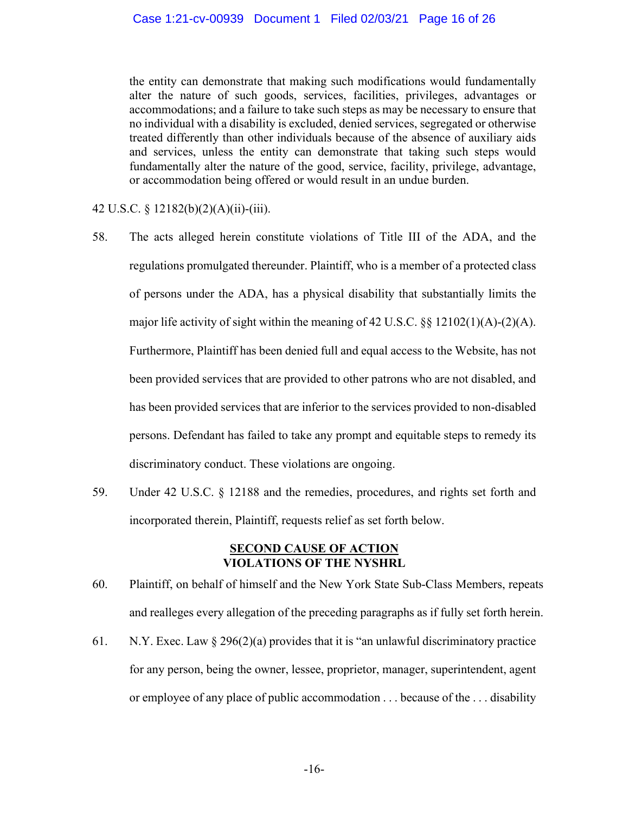the entity can demonstrate that making such modifications would fundamentally alter the nature of such goods, services, facilities, privileges, advantages or accommodations; and a failure to take such steps as may be necessary to ensure that no individual with a disability is excluded, denied services, segregated or otherwise treated differently than other individuals because of the absence of auxiliary aids and services, unless the entity can demonstrate that taking such steps would fundamentally alter the nature of the good, service, facility, privilege, advantage, or accommodation being offered or would result in an undue burden.

42 U.S.C. § 12182(b)(2)(A)(ii)-(iii).

- 58. The acts alleged herein constitute violations of Title III of the ADA, and the regulations promulgated thereunder. Plaintiff, who is a member of a protected class of persons under the ADA, has a physical disability that substantially limits the major life activity of sight within the meaning of 42 U.S.C. §§ 12102(1)(A)-(2)(A). Furthermore, Plaintiff has been denied full and equal access to the Website, has not been provided services that are provided to other patrons who are not disabled, and has been provided services that are inferior to the services provided to non-disabled persons. Defendant has failed to take any prompt and equitable steps to remedy its discriminatory conduct. These violations are ongoing.
- 59. Under 42 U.S.C. § 12188 and the remedies, procedures, and rights set forth and incorporated therein, Plaintiff, requests relief as set forth below.

# **SECOND CAUSE OF ACTION VIOLATIONS OF THE NYSHRL**

- 60. Plaintiff, on behalf of himself and the New York State Sub-Class Members, repeats and realleges every allegation of the preceding paragraphs as if fully set forth herein.
- 61. N.Y. Exec. Law  $\S 296(2)(a)$  provides that it is "an unlawful discriminatory practice for any person, being the owner, lessee, proprietor, manager, superintendent, agent or employee of any place of public accommodation . . . because of the . . . disability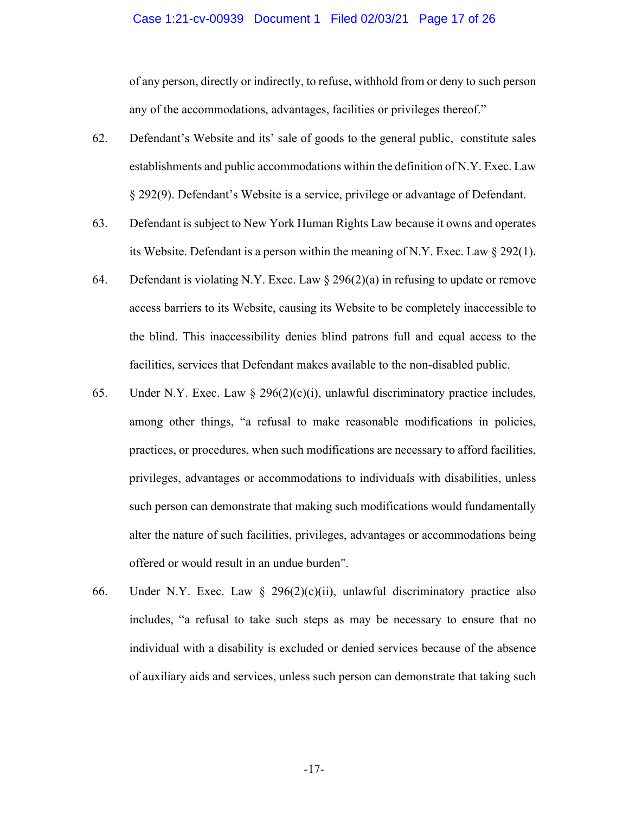### Case 1:21-cv-00939 Document 1 Filed 02/03/21 Page 17 of 26

of any person, directly or indirectly, to refuse, withhold from or deny to such person any of the accommodations, advantages, facilities or privileges thereof."

- 62. Defendant's Website and its' sale of goods to the general public, constitute sales establishments and public accommodations within the definition of N.Y. Exec. Law § 292(9). Defendant's Website is a service, privilege or advantage of Defendant.
- 63. Defendant is subject to New York Human Rights Law because it owns and operates its Website. Defendant is a person within the meaning of N.Y. Exec. Law  $\S 292(1)$ .
- 64. Defendant is violating N.Y. Exec. Law  $\S 296(2)(a)$  in refusing to update or remove access barriers to its Website, causing its Website to be completely inaccessible to the blind. This inaccessibility denies blind patrons full and equal access to the facilities, services that Defendant makes available to the non-disabled public.
- 65. Under N.Y. Exec. Law  $\S$  296(2)(c)(i), unlawful discriminatory practice includes, among other things, "a refusal to make reasonable modifications in policies, practices, or procedures, when such modifications are necessary to afford facilities, privileges, advantages or accommodations to individuals with disabilities, unless such person can demonstrate that making such modifications would fundamentally alter the nature of such facilities, privileges, advantages or accommodations being offered or would result in an undue burden".
- 66. Under N.Y. Exec. Law  $\S$  296(2)(c)(ii), unlawful discriminatory practice also includes, "a refusal to take such steps as may be necessary to ensure that no individual with a disability is excluded or denied services because of the absence of auxiliary aids and services, unless such person can demonstrate that taking such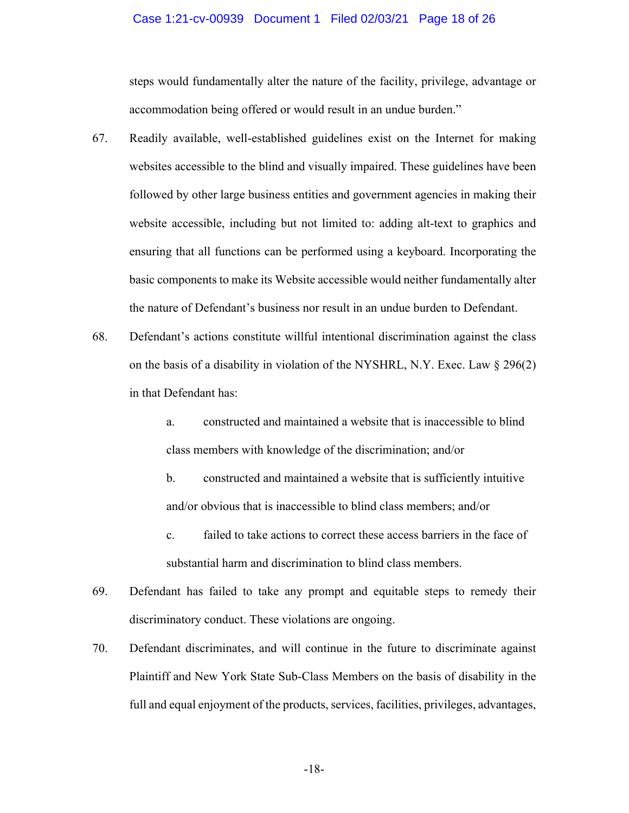### Case 1:21-cv-00939 Document 1 Filed 02/03/21 Page 18 of 26

steps would fundamentally alter the nature of the facility, privilege, advantage or accommodation being offered or would result in an undue burden."

- 67. Readily available, well-established guidelines exist on the Internet for making websites accessible to the blind and visually impaired. These guidelines have been followed by other large business entities and government agencies in making their website accessible, including but not limited to: adding alt-text to graphics and ensuring that all functions can be performed using a keyboard. Incorporating the basic components to make its Website accessible would neither fundamentally alter the nature of Defendant's business nor result in an undue burden to Defendant.
- 68. Defendant's actions constitute willful intentional discrimination against the class on the basis of a disability in violation of the NYSHRL, N.Y. Exec. Law § 296(2) in that Defendant has:
	- a. constructed and maintained a website that is inaccessible to blind class members with knowledge of the discrimination; and/or
	- b. constructed and maintained a website that is sufficiently intuitive and/or obvious that is inaccessible to blind class members; and/or
	- c. failed to take actions to correct these access barriers in the face of substantial harm and discrimination to blind class members.
- 69. Defendant has failed to take any prompt and equitable steps to remedy their discriminatory conduct. These violations are ongoing.
- 70. Defendant discriminates, and will continue in the future to discriminate against Plaintiff and New York State Sub-Class Members on the basis of disability in the full and equal enjoyment of the products, services, facilities, privileges, advantages,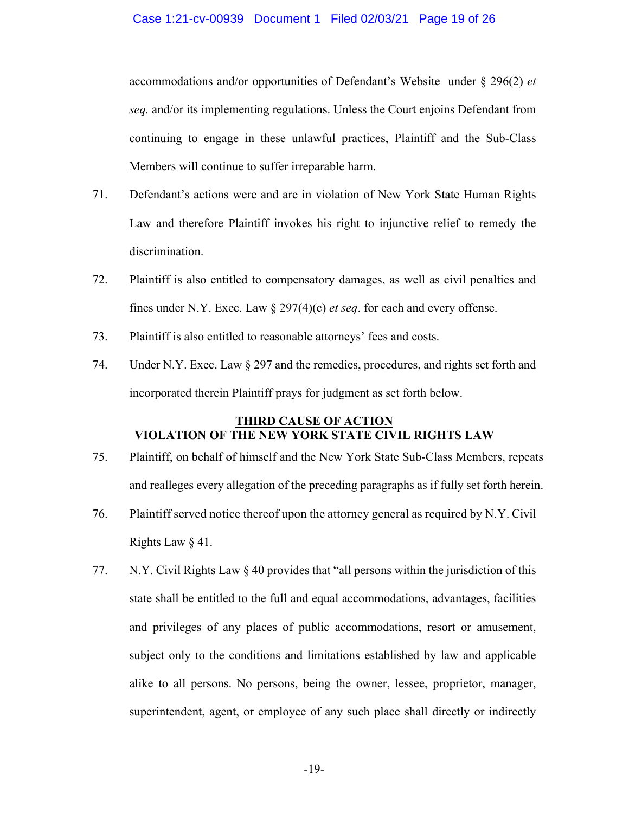accommodations and/or opportunities of Defendant's Website under § 296(2) *et seq.* and/or its implementing regulations. Unless the Court enjoins Defendant from continuing to engage in these unlawful practices, Plaintiff and the Sub-Class Members will continue to suffer irreparable harm.

- 71. Defendant's actions were and are in violation of New York State Human Rights Law and therefore Plaintiff invokes his right to injunctive relief to remedy the discrimination.
- 72. Plaintiff is also entitled to compensatory damages, as well as civil penalties and fines under N.Y. Exec. Law § 297(4)(c) *et seq*. for each and every offense.
- 73. Plaintiff is also entitled to reasonable attorneys' fees and costs.
- 74. Under N.Y. Exec. Law § 297 and the remedies, procedures, and rights set forth and incorporated therein Plaintiff prays for judgment as set forth below.

# **THIRD CAUSE OF ACTION VIOLATION OF THE NEW YORK STATE CIVIL RIGHTS LAW**

- 75. Plaintiff, on behalf of himself and the New York State Sub-Class Members, repeats and realleges every allegation of the preceding paragraphs as if fully set forth herein.
- 76. Plaintiff served notice thereof upon the attorney general as required by N.Y. Civil Rights Law § 41.
- 77. N.Y. Civil Rights Law § 40 provides that "all persons within the jurisdiction of this state shall be entitled to the full and equal accommodations, advantages, facilities and privileges of any places of public accommodations, resort or amusement, subject only to the conditions and limitations established by law and applicable alike to all persons. No persons, being the owner, lessee, proprietor, manager, superintendent, agent, or employee of any such place shall directly or indirectly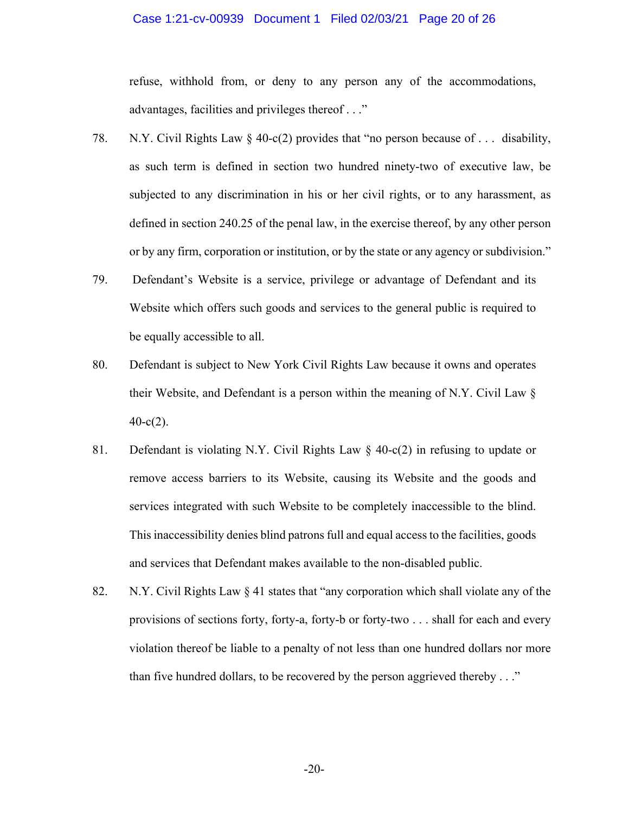### Case 1:21-cv-00939 Document 1 Filed 02/03/21 Page 20 of 26

refuse, withhold from, or deny to any person any of the accommodations, advantages, facilities and privileges thereof . . ."

- 78. N.Y. Civil Rights Law  $\S$  40-c(2) provides that "no person because of ... disability, as such term is defined in section two hundred ninety-two of executive law, be subjected to any discrimination in his or her civil rights, or to any harassment, as defined in section 240.25 of the penal law, in the exercise thereof, by any other person or by any firm, corporation or institution, or by the state or any agency or subdivision."
- 79. Defendant's Website is a service, privilege or advantage of Defendant and its Website which offers such goods and services to the general public is required to be equally accessible to all.
- 80. Defendant is subject to New York Civil Rights Law because it owns and operates their Website, and Defendant is a person within the meaning of N.Y. Civil Law §  $40-c(2)$ .
- 81. Defendant is violating N.Y. Civil Rights Law § 40-c(2) in refusing to update or remove access barriers to its Website, causing its Website and the goods and services integrated with such Website to be completely inaccessible to the blind. This inaccessibility denies blind patrons full and equal access to the facilities, goods and services that Defendant makes available to the non-disabled public.
- 82. N.Y. Civil Rights Law § 41 states that "any corporation which shall violate any of the provisions of sections forty, forty-a, forty-b or forty-two . . . shall for each and every violation thereof be liable to a penalty of not less than one hundred dollars nor more than five hundred dollars, to be recovered by the person aggrieved thereby . . ."

-20-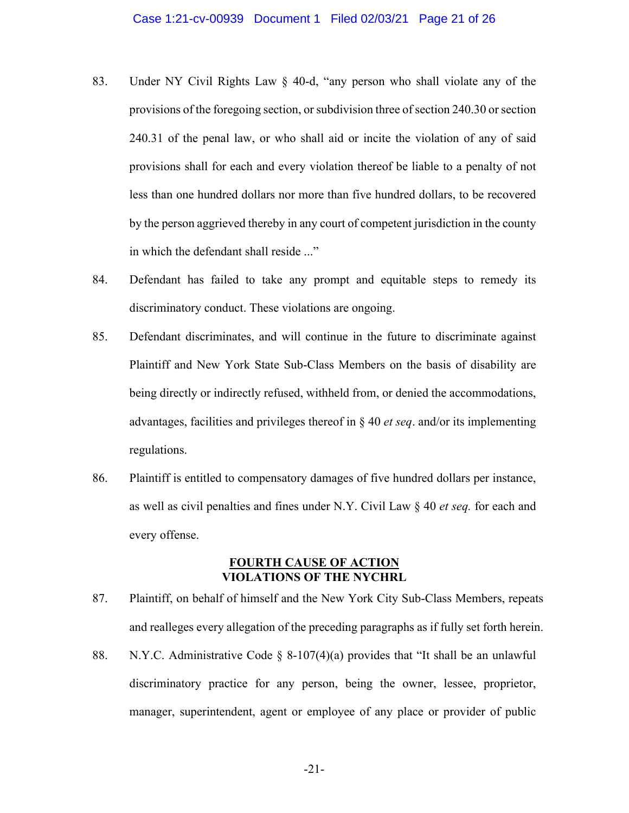- 83. Under NY Civil Rights Law § 40-d, "any person who shall violate any of the provisions of the foregoing section, or subdivision three of section 240.30 or section 240.31 of the penal law, or who shall aid or incite the violation of any of said provisions shall for each and every violation thereof be liable to a penalty of not less than one hundred dollars nor more than five hundred dollars, to be recovered by the person aggrieved thereby in any court of competent jurisdiction in the county in which the defendant shall reside ..."
- 84. Defendant has failed to take any prompt and equitable steps to remedy its discriminatory conduct. These violations are ongoing.
- 85. Defendant discriminates, and will continue in the future to discriminate against Plaintiff and New York State Sub-Class Members on the basis of disability are being directly or indirectly refused, withheld from, or denied the accommodations, advantages, facilities and privileges thereof in § 40 *et seq*. and/or its implementing regulations.
- 86. Plaintiff is entitled to compensatory damages of five hundred dollars per instance, as well as civil penalties and fines under N.Y. Civil Law § 40 *et seq.* for each and every offense.

# **FOURTH CAUSE OF ACTION VIOLATIONS OF THE NYCHRL**

- 87. Plaintiff, on behalf of himself and the New York City Sub-Class Members, repeats and realleges every allegation of the preceding paragraphs as if fully set forth herein.
- 88. N.Y.C. Administrative Code  $\S$  8-107(4)(a) provides that "It shall be an unlawful discriminatory practice for any person, being the owner, lessee, proprietor, manager, superintendent, agent or employee of any place or provider of public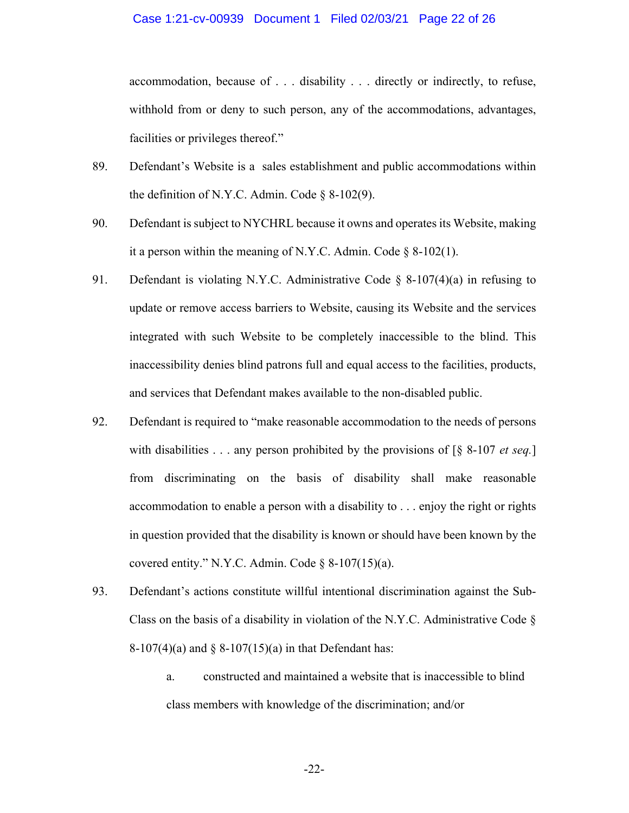### Case 1:21-cv-00939 Document 1 Filed 02/03/21 Page 22 of 26

accommodation, because of . . . disability . . . directly or indirectly, to refuse, withhold from or deny to such person, any of the accommodations, advantages, facilities or privileges thereof."

- 89. Defendant's Website is a sales establishment and public accommodations within the definition of N.Y.C. Admin. Code  $\S$  8-102(9).
- 90. Defendant is subject to NYCHRL because it owns and operates its Website, making it a person within the meaning of N.Y.C. Admin. Code  $\S$  8-102(1).
- 91. Defendant is violating N.Y.C. Administrative Code § 8-107(4)(a) in refusing to update or remove access barriers to Website, causing its Website and the services integrated with such Website to be completely inaccessible to the blind. This inaccessibility denies blind patrons full and equal access to the facilities, products, and services that Defendant makes available to the non-disabled public.
- 92. Defendant is required to "make reasonable accommodation to the needs of persons with disabilities . . . any person prohibited by the provisions of [§ 8-107 *et seq.*] from discriminating on the basis of disability shall make reasonable accommodation to enable a person with a disability to . . . enjoy the right or rights in question provided that the disability is known or should have been known by the covered entity." N.Y.C. Admin. Code  $\S$  8-107(15)(a).
- 93. Defendant's actions constitute willful intentional discrimination against the Sub-Class on the basis of a disability in violation of the N.Y.C. Administrative Code  $\S$ 8-107(4)(a) and § 8-107(15)(a) in that Defendant has:
	- a. constructed and maintained a website that is inaccessible to blind class members with knowledge of the discrimination; and/or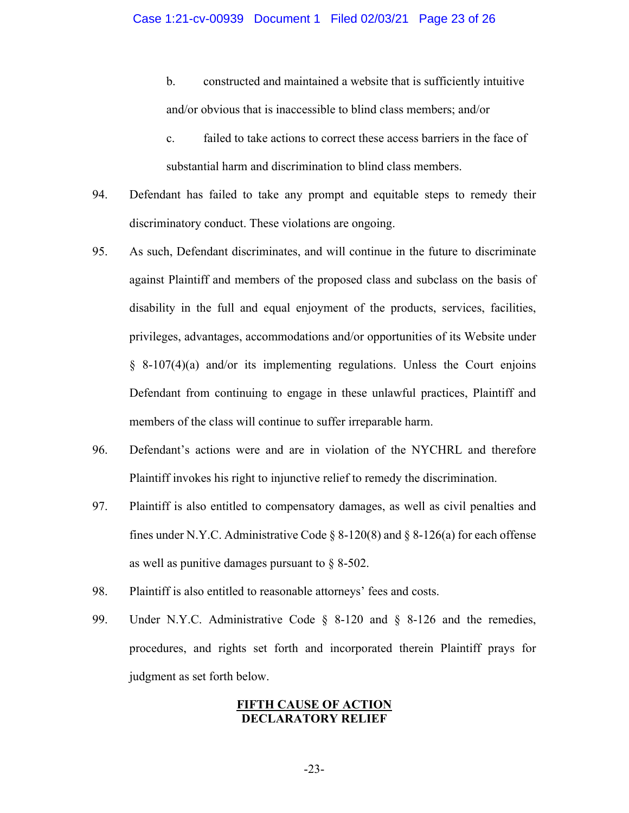b. constructed and maintained a website that is sufficiently intuitive and/or obvious that is inaccessible to blind class members; and/or

- c. failed to take actions to correct these access barriers in the face of substantial harm and discrimination to blind class members.
- 94. Defendant has failed to take any prompt and equitable steps to remedy their discriminatory conduct. These violations are ongoing.
- 95. As such, Defendant discriminates, and will continue in the future to discriminate against Plaintiff and members of the proposed class and subclass on the basis of disability in the full and equal enjoyment of the products, services, facilities, privileges, advantages, accommodations and/or opportunities of its Website under  $§ 8-107(4)(a)$  and/or its implementing regulations. Unless the Court enjoins Defendant from continuing to engage in these unlawful practices, Plaintiff and members of the class will continue to suffer irreparable harm.
- 96. Defendant's actions were and are in violation of the NYCHRL and therefore Plaintiff invokes his right to injunctive relief to remedy the discrimination.
- 97. Plaintiff is also entitled to compensatory damages, as well as civil penalties and fines under N.Y.C. Administrative Code  $\S 8-120(8)$  and  $\S 8-126(a)$  for each offense as well as punitive damages pursuant to § 8-502.
- 98. Plaintiff is also entitled to reasonable attorneys' fees and costs.
- 99. Under N.Y.C. Administrative Code § 8-120 and § 8-126 and the remedies, procedures, and rights set forth and incorporated therein Plaintiff prays for judgment as set forth below.

# **FIFTH CAUSE OF ACTION DECLARATORY RELIEF**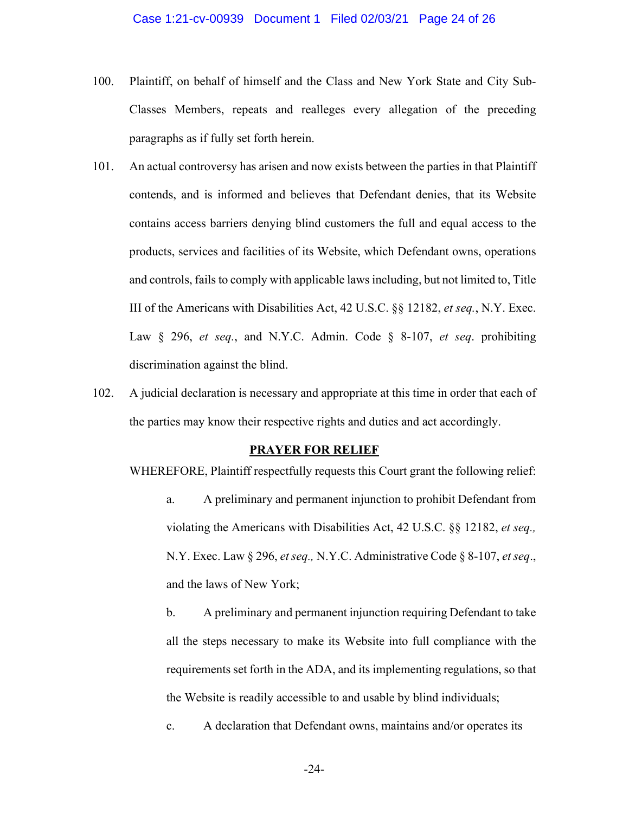- 100. Plaintiff, on behalf of himself and the Class and New York State and City Sub-Classes Members, repeats and realleges every allegation of the preceding paragraphs as if fully set forth herein.
- 101. An actual controversy has arisen and now exists between the parties in that Plaintiff contends, and is informed and believes that Defendant denies, that its Website contains access barriers denying blind customers the full and equal access to the products, services and facilities of its Website, which Defendant owns, operations and controls, fails to comply with applicable laws including, but not limited to, Title III of the Americans with Disabilities Act, 42 U.S.C. §§ 12182, *et seq.*, N.Y. Exec. Law § 296, *et seq.*, and N.Y.C. Admin. Code § 8-107, *et seq*. prohibiting discrimination against the blind.
- 102. A judicial declaration is necessary and appropriate at this time in order that each of the parties may know their respective rights and duties and act accordingly.

#### **PRAYER FOR RELIEF**

WHEREFORE, Plaintiff respectfully requests this Court grant the following relief:

a. A preliminary and permanent injunction to prohibit Defendant from violating the Americans with Disabilities Act, 42 U.S.C. §§ 12182, *et seq.,* N.Y. Exec. Law § 296, *et seq.,* N.Y.C. Administrative Code § 8-107, *et seq*., and the laws of New York;

b. A preliminary and permanent injunction requiring Defendant to take all the steps necessary to make its Website into full compliance with the requirements set forth in the ADA, and its implementing regulations, so that the Website is readily accessible to and usable by blind individuals;

c. A declaration that Defendant owns, maintains and/or operates its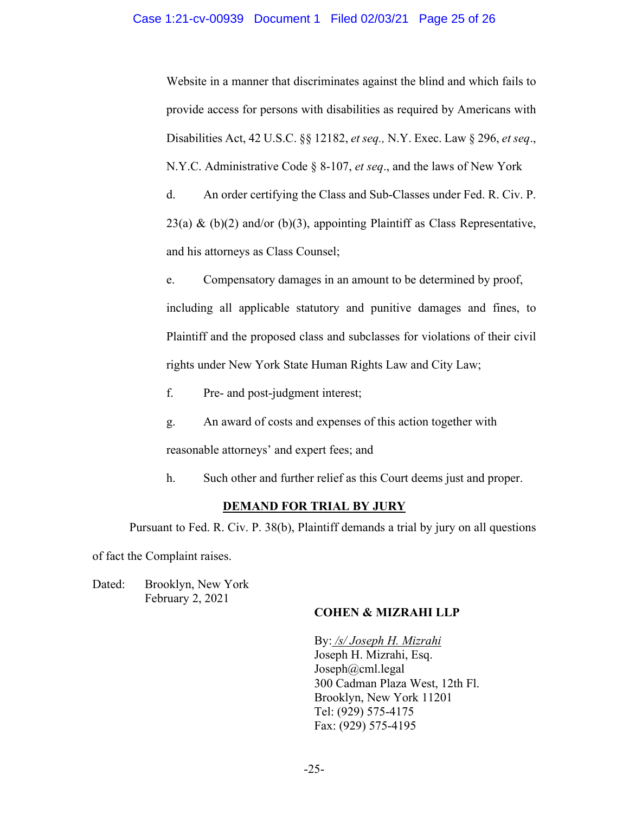## Case 1:21-cv-00939 Document 1 Filed 02/03/21 Page 25 of 26

Website in a manner that discriminates against the blind and which fails to provide access for persons with disabilities as required by Americans with Disabilities Act, 42 U.S.C. §§ 12182, *et seq.,* N.Y. Exec. Law § 296, *et seq*., N.Y.C. Administrative Code § 8-107, *et seq*., and the laws of New York

d. An order certifying the Class and Sub-Classes under Fed. R. Civ. P. 23(a) & (b)(2) and/or (b)(3), appointing Plaintiff as Class Representative, and his attorneys as Class Counsel;

e. Compensatory damages in an amount to be determined by proof, including all applicable statutory and punitive damages and fines, to Plaintiff and the proposed class and subclasses for violations of their civil rights under New York State Human Rights Law and City Law;

f. Pre- and post-judgment interest;

g. An award of costs and expenses of this action together with reasonable attorneys' and expert fees; and

h. Such other and further relief as this Court deems just and proper.

## **DEMAND FOR TRIAL BY JURY**

Pursuant to Fed. R. Civ. P. 38(b), Plaintiff demands a trial by jury on all questions

of fact the Complaint raises.

Dated: Brooklyn, New York February 2, 2021

# **COHEN & MIZRAHI LLP**

By: */s/ Joseph H. Mizrahi* Joseph H. Mizrahi, Esq. Joseph@cml.legal 300 Cadman Plaza West, 12th Fl. Brooklyn, New York 11201 Tel: (929) 575-4175 Fax: (929) 575-4195